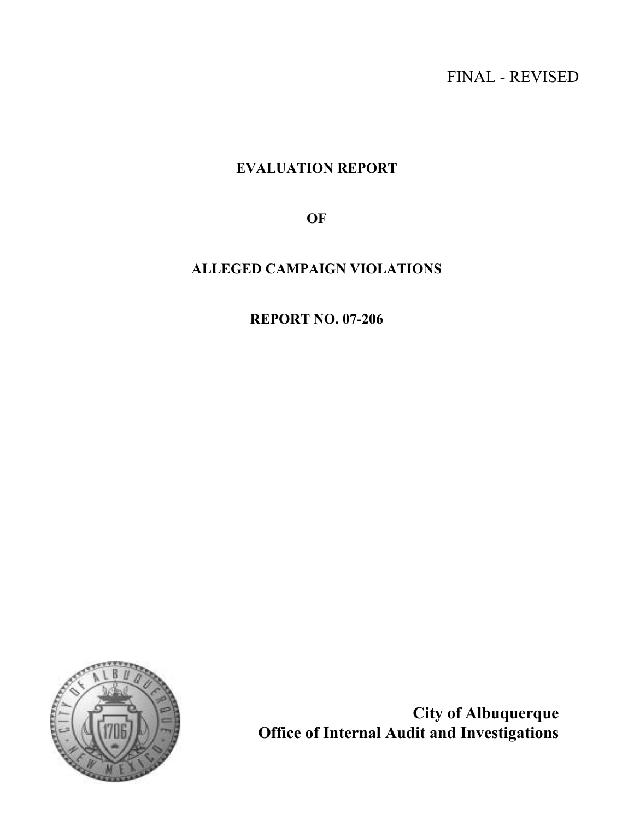# FINAL - REVISED

# EVALUATION REPORT

**OF** 

# ALLEGED CAMPAIGN VIOLATIONS

REPORT NO. 07-206



City of Albuquerque Office of Internal Audit and Investigations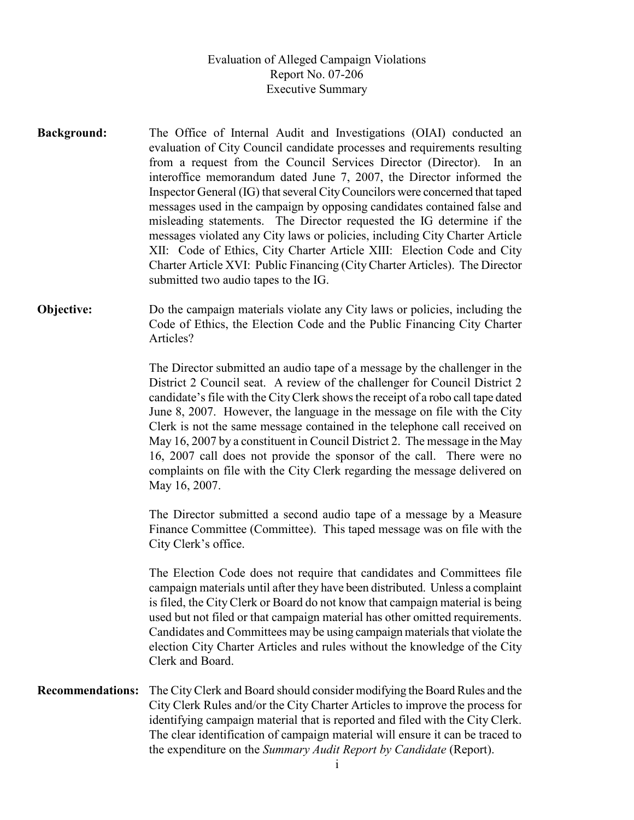## Evaluation of Alleged Campaign Violations Report No. 07-206 Executive Summary

Background: The Office of Internal Audit and Investigations (OIAI) conducted an evaluation of City Council candidate processes and requirements resulting from a request from the Council Services Director (Director). In an interoffice memorandum dated June 7, 2007, the Director informed the Inspector General (IG) that several City Councilors were concerned that taped messages used in the campaign by opposing candidates contained false and misleading statements. The Director requested the IG determine if the messages violated any City laws or policies, including City Charter Article XII: Code of Ethics, City Charter Article XIII: Election Code and City Charter Article XVI: Public Financing (City Charter Articles). The Director submitted two audio tapes to the IG.

**Objective:** Do the campaign materials violate any City laws or policies, including the Code of Ethics, the Election Code and the Public Financing City Charter Articles?

> The Director submitted an audio tape of a message by the challenger in the District 2 Council seat. A review of the challenger for Council District 2 candidate's file with the City Clerk shows the receipt of a robo call tape dated June 8, 2007. However, the language in the message on file with the City Clerk is not the same message contained in the telephone call received on May 16, 2007 by a constituent in Council District 2. The message in the May 16, 2007 call does not provide the sponsor of the call. There were no complaints on file with the City Clerk regarding the message delivered on May 16, 2007.

> The Director submitted a second audio tape of a message by a Measure Finance Committee (Committee). This taped message was on file with the City Clerk's office.

> The Election Code does not require that candidates and Committees file campaign materials until after they have been distributed. Unless a complaint is filed, the City Clerk or Board do not know that campaign material is being used but not filed or that campaign material has other omitted requirements. Candidates and Committees may be using campaign materials that violate the election City Charter Articles and rules without the knowledge of the City Clerk and Board.

Recommendations: The City Clerk and Board should consider modifying the Board Rules and the City Clerk Rules and/or the City Charter Articles to improve the process for identifying campaign material that is reported and filed with the City Clerk. The clear identification of campaign material will ensure it can be traced to the expenditure on the Summary Audit Report by Candidate (Report).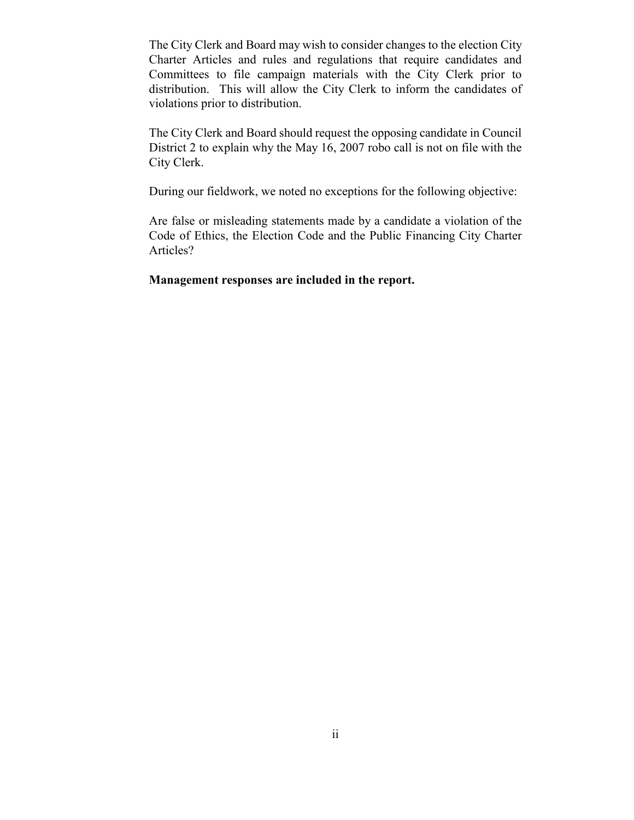The City Clerk and Board may wish to consider changes to the election City Charter Articles and rules and regulations that require candidates and Committees to file campaign materials with the City Clerk prior to distribution. This will allow the City Clerk to inform the candidates of violations prior to distribution.

 The City Clerk and Board should request the opposing candidate in Council District 2 to explain why the May 16, 2007 robo call is not on file with the City Clerk.

During our fieldwork, we noted no exceptions for the following objective:

 Are false or misleading statements made by a candidate a violation of the Code of Ethics, the Election Code and the Public Financing City Charter Articles?

Management responses are included in the report.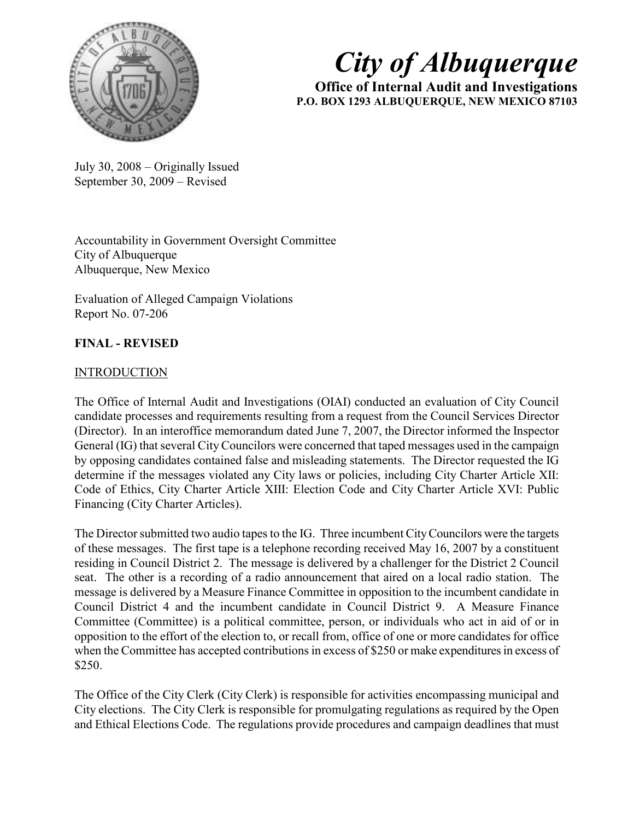

# City of Albuquerque

Office of Internal Audit and Investigations P.O. BOX 1293 ALBUQUERQUE, NEW MEXICO 87103

July 30, 2008 – Originally Issued September 30, 2009 – Revised

Accountability in Government Oversight Committee City of Albuquerque Albuquerque, New Mexico

Evaluation of Alleged Campaign Violations Report No. 07-206

# FINAL - REVISED

## **INTRODUCTION**

The Office of Internal Audit and Investigations (OIAI) conducted an evaluation of City Council candidate processes and requirements resulting from a request from the Council Services Director (Director). In an interoffice memorandum dated June 7, 2007, the Director informed the Inspector General (IG) that several City Councilors were concerned that taped messages used in the campaign by opposing candidates contained false and misleading statements. The Director requested the IG determine if the messages violated any City laws or policies, including City Charter Article XII: Code of Ethics, City Charter Article XIII: Election Code and City Charter Article XVI: Public Financing (City Charter Articles).

The Director submitted two audio tapes to the IG. Three incumbent City Councilors were the targets of these messages. The first tape is a telephone recording received May 16, 2007 by a constituent residing in Council District 2. The message is delivered by a challenger for the District 2 Council seat. The other is a recording of a radio announcement that aired on a local radio station. The message is delivered by a Measure Finance Committee in opposition to the incumbent candidate in Council District 4 and the incumbent candidate in Council District 9. A Measure Finance Committee (Committee) is a political committee, person, or individuals who act in aid of or in opposition to the effort of the election to, or recall from, office of one or more candidates for office when the Committee has accepted contributions in excess of \$250 or make expenditures in excess of \$250.

The Office of the City Clerk (City Clerk) is responsible for activities encompassing municipal and City elections. The City Clerk is responsible for promulgating regulations as required by the Open and Ethical Elections Code. The regulations provide procedures and campaign deadlines that must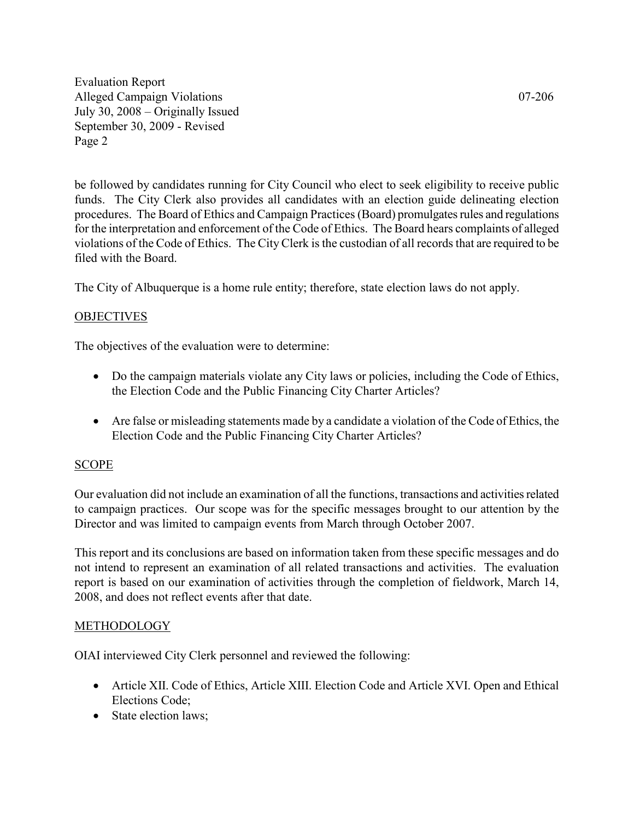be followed by candidates running for City Council who elect to seek eligibility to receive public funds. The City Clerk also provides all candidates with an election guide delineating election procedures. The Board of Ethics and Campaign Practices (Board) promulgates rules and regulations for the interpretation and enforcement of the Code of Ethics. The Board hears complaints of alleged violations of the Code of Ethics. The City Clerk is the custodian of all records that are required to be filed with the Board.

The City of Albuquerque is a home rule entity; therefore, state election laws do not apply.

## **OBJECTIVES**

The objectives of the evaluation were to determine:

- Do the campaign materials violate any City laws or policies, including the Code of Ethics, the Election Code and the Public Financing City Charter Articles?
- Are false or misleading statements made by a candidate a violation of the Code of Ethics, the Election Code and the Public Financing City Charter Articles?

## SCOPE

Our evaluation did not include an examination of all the functions, transactions and activities related to campaign practices. Our scope was for the specific messages brought to our attention by the Director and was limited to campaign events from March through October 2007.

This report and its conclusions are based on information taken from these specific messages and do not intend to represent an examination of all related transactions and activities. The evaluation report is based on our examination of activities through the completion of fieldwork, March 14, 2008, and does not reflect events after that date.

#### **METHODOLOGY**

OIAI interviewed City Clerk personnel and reviewed the following:

- Article XII. Code of Ethics, Article XIII. Election Code and Article XVI. Open and Ethical Elections Code;
- State election laws;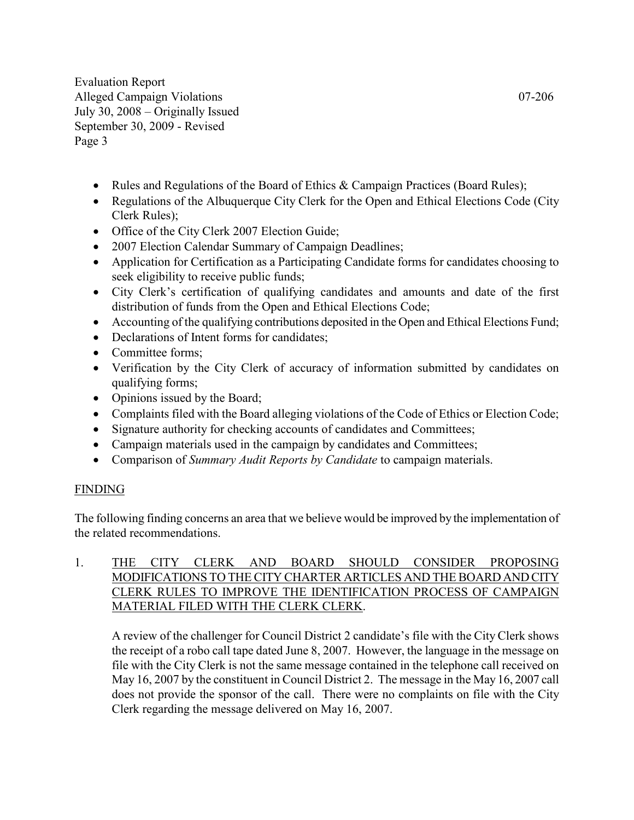- Rules and Regulations of the Board of Ethics & Campaign Practices (Board Rules);
- Regulations of the Albuquerque City Clerk for the Open and Ethical Elections Code (City Clerk Rules);
- Office of the City Clerk 2007 Election Guide;
- 2007 Election Calendar Summary of Campaign Deadlines;
- Application for Certification as a Participating Candidate forms for candidates choosing to seek eligibility to receive public funds;
- City Clerk's certification of qualifying candidates and amounts and date of the first distribution of funds from the Open and Ethical Elections Code;
- Accounting of the qualifying contributions deposited in the Open and Ethical Elections Fund;
- Declarations of Intent forms for candidates;
- Committee forms;
- Verification by the City Clerk of accuracy of information submitted by candidates on qualifying forms;
- Opinions issued by the Board;
- Complaints filed with the Board alleging violations of the Code of Ethics or Election Code;
- Signature authority for checking accounts of candidates and Committees;
- Campaign materials used in the campaign by candidates and Committees;
- Comparison of Summary Audit Reports by Candidate to campaign materials.

## FINDING

The following finding concerns an area that we believe would be improved by the implementation of the related recommendations.

## 1. THE CITY CLERK AND BOARD SHOULD CONSIDER PROPOSING MODIFICATIONS TO THE CITY CHARTER ARTICLES AND THE BOARD AND CITY CLERK RULES TO IMPROVE THE IDENTIFICATION PROCESS OF CAMPAIGN MATERIAL FILED WITH THE CLERK CLERK.

 A review of the challenger for Council District 2 candidate's file with the City Clerk shows the receipt of a robo call tape dated June 8, 2007. However, the language in the message on file with the City Clerk is not the same message contained in the telephone call received on May 16, 2007 by the constituent in Council District 2. The message in the May 16, 2007 call does not provide the sponsor of the call. There were no complaints on file with the City Clerk regarding the message delivered on May 16, 2007.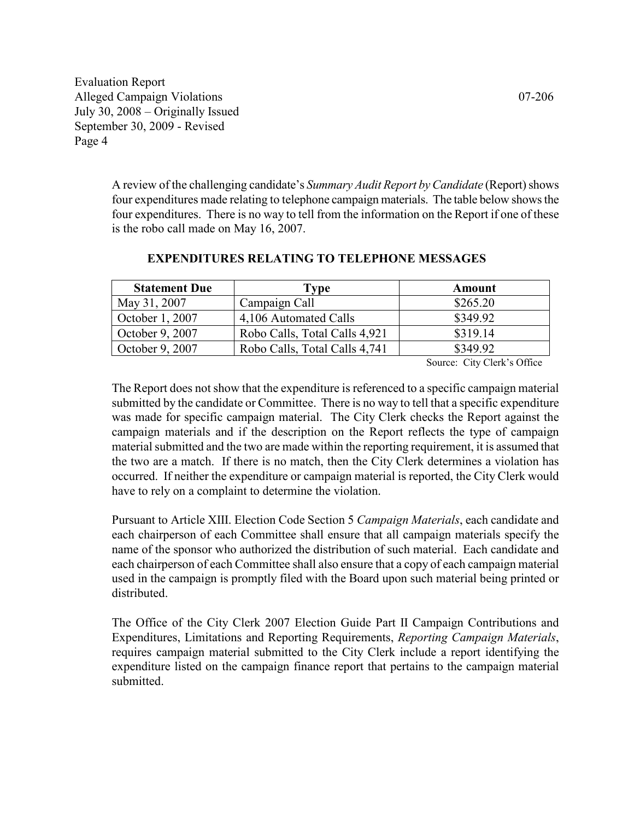A review of the challenging candidate's Summary Audit Report by Candidate (Report) shows four expenditures made relating to telephone campaign materials. The table below shows the four expenditures. There is no way to tell from the information on the Report if one of these is the robo call made on May 16, 2007.

| <b>Statement Due</b> | Type                          | Amount   |
|----------------------|-------------------------------|----------|
| May 31, 2007         | Campaign Call                 | \$265.20 |
| October 1, 2007      | 4,106 Automated Calls         | \$349.92 |
| October 9, 2007      | Robo Calls, Total Calls 4,921 | \$319.14 |
| October 9, 2007      | Robo Calls, Total Calls 4,741 | \$349.92 |

#### EXPENDITURES RELATING TO TELEPHONE MESSAGES

Source: City Clerk's Office

The Report does not show that the expenditure is referenced to a specific campaign material submitted by the candidate or Committee. There is no way to tell that a specific expenditure was made for specific campaign material. The City Clerk checks the Report against the campaign materials and if the description on the Report reflects the type of campaign material submitted and the two are made within the reporting requirement, it is assumed that the two are a match. If there is no match, then the City Clerk determines a violation has occurred. If neither the expenditure or campaign material is reported, the City Clerk would have to rely on a complaint to determine the violation.

Pursuant to Article XIII. Election Code Section 5 Campaign Materials, each candidate and each chairperson of each Committee shall ensure that all campaign materials specify the name of the sponsor who authorized the distribution of such material. Each candidate and each chairperson of each Committee shall also ensure that a copy of each campaign material used in the campaign is promptly filed with the Board upon such material being printed or distributed.

The Office of the City Clerk 2007 Election Guide Part II Campaign Contributions and Expenditures, Limitations and Reporting Requirements, Reporting Campaign Materials, requires campaign material submitted to the City Clerk include a report identifying the expenditure listed on the campaign finance report that pertains to the campaign material submitted.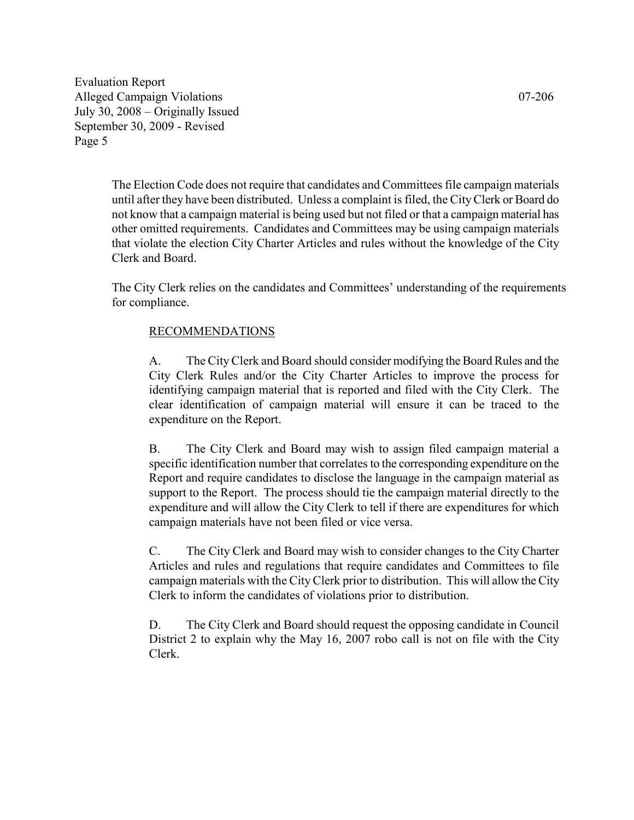The Election Code does not require that candidates and Committees file campaign materials until after they have been distributed. Unless a complaint is filed, the City Clerk or Board do not know that a campaign material is being used but not filed or that a campaign material has other omitted requirements. Candidates and Committees may be using campaign materials that violate the election City Charter Articles and rules without the knowledge of the City Clerk and Board.

The City Clerk relies on the candidates and Committees' understanding of the requirements for compliance.

#### RECOMMENDATIONS

A. The City Clerk and Board should consider modifying the Board Rules and the City Clerk Rules and/or the City Charter Articles to improve the process for identifying campaign material that is reported and filed with the City Clerk. The clear identification of campaign material will ensure it can be traced to the expenditure on the Report.

B. The City Clerk and Board may wish to assign filed campaign material a specific identification number that correlates to the corresponding expenditure on the Report and require candidates to disclose the language in the campaign material as support to the Report. The process should tie the campaign material directly to the expenditure and will allow the City Clerk to tell if there are expenditures for which campaign materials have not been filed or vice versa.

C. The City Clerk and Board may wish to consider changes to the City Charter Articles and rules and regulations that require candidates and Committees to file campaign materials with the City Clerk prior to distribution. This will allow the City Clerk to inform the candidates of violations prior to distribution.

D. The City Clerk and Board should request the opposing candidate in Council District 2 to explain why the May 16, 2007 robo call is not on file with the City Clerk.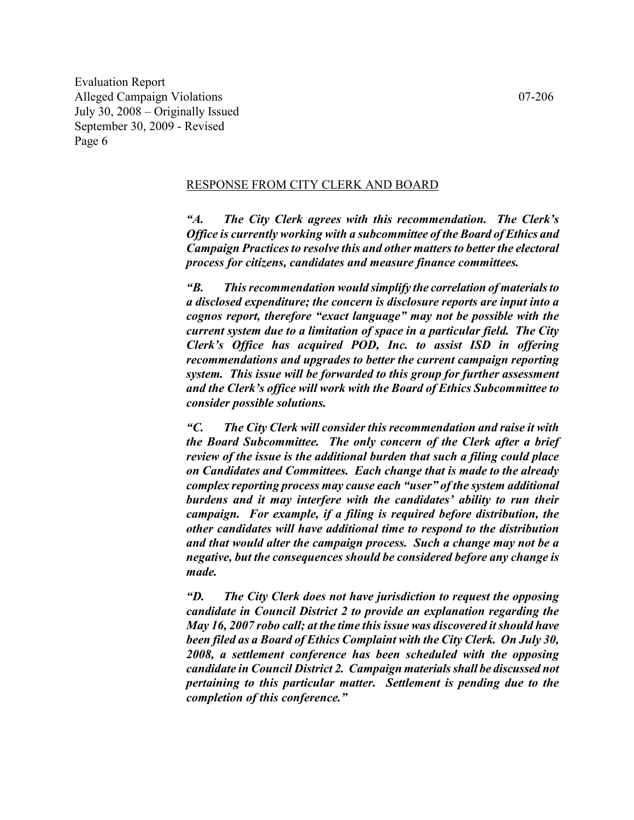#### RESPONSE FROM CITY CLERK AND BOARD

"A. The City Clerk agrees with this recommendation. The Clerk's Office is currently working with a subcommittee of the Board of Ethics and Campaign Practices to resolve this and other matters to better the electoral process for citizens, candidates and measure finance committees.

"B. This recommendation would simplify the correlation of materials to a disclosed expenditure; the concern is disclosure reports are input into a cognos report, therefore "exact language" may not be possible with the current system due to a limitation of space in a particular field. The City Clerk's Office has acquired POD, Inc. to assist ISD in offering recommendations and upgrades to better the current campaign reporting system. This issue will be forwarded to this group for further assessment and the Clerk's office will work with the Board of Ethics Subcommittee to consider possible solutions.

"C. The City Clerk will consider this recommendation and raise it with the Board Subcommittee. The only concern of the Clerk after a brief review of the issue is the additional burden that such a filing could place on Candidates and Committees. Each change that is made to the already complex reporting process may cause each "user" of the system additional burdens and it may interfere with the candidates' ability to run their campaign. For example, if a filing is required before distribution, the other candidates will have additional time to respond to the distribution and that would alter the campaign process. Such a change may not be a negative, but the consequences should be considered before any change is made.

"D. The City Clerk does not have jurisdiction to request the opposing candidate in Council District 2 to provide an explanation regarding the May 16, 2007 robo call; at the time this issue was discovered it should have been filed as a Board of Ethics Complaint with the City Clerk. On July 30, 2008, a settlement conference has been scheduled with the opposing candidate in Council District 2. Campaign materials shall be discussed not pertaining to this particular matter. Settlement is pending due to the completion of this conference."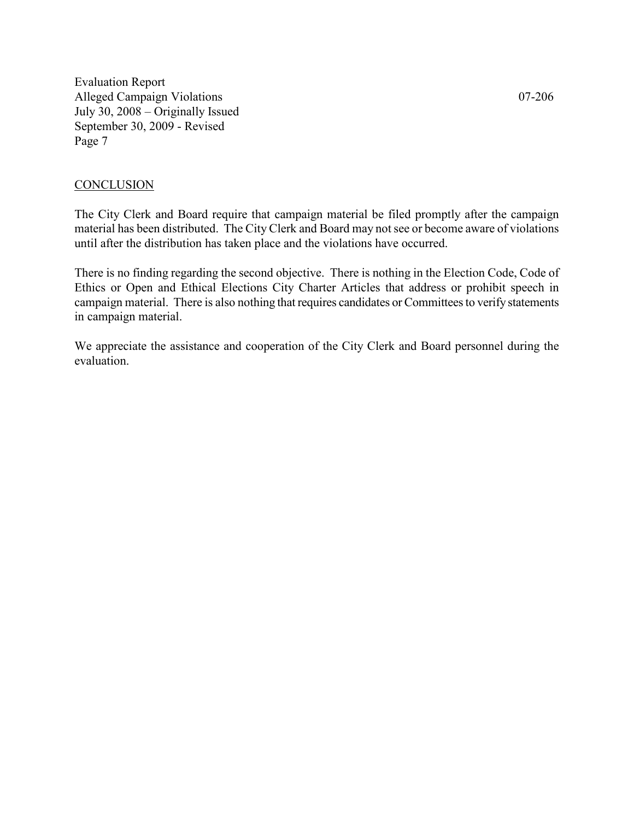#### **CONCLUSION**

The City Clerk and Board require that campaign material be filed promptly after the campaign material has been distributed. The City Clerk and Board may not see or become aware of violations until after the distribution has taken place and the violations have occurred.

There is no finding regarding the second objective. There is nothing in the Election Code, Code of Ethics or Open and Ethical Elections City Charter Articles that address or prohibit speech in campaign material. There is also nothing that requires candidates or Committees to verify statements in campaign material.

We appreciate the assistance and cooperation of the City Clerk and Board personnel during the evaluation.